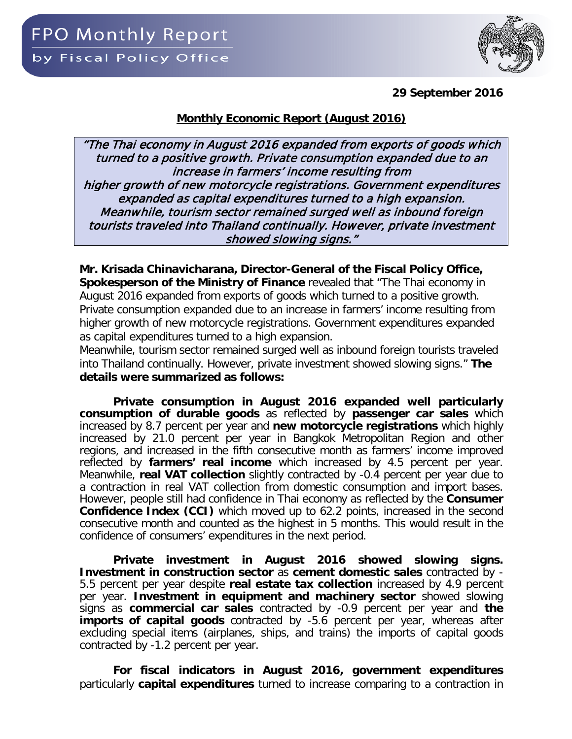

**29 September 2016**

## **Monthly Economic Report (August 2016)**

"The Thai economy in August 2016 expanded from exports of goods which turned to a positive growth. Private consumption expanded due to an increase in farmers' income resulting from higher growth of new motorcycle registrations. Government expenditures expanded as capital expenditures turned to a high expansion. Meanwhile, tourism sector remained surged well as inbound foreign tourists traveled into Thailand continually. However, private investment showed slowing signs."

**Mr. Krisada Chinavicharana, Director-General of the Fiscal Policy Office, Spokesperson of the Ministry of Finance** revealed that "The Thai economy in August 2016 expanded from exports of goods which turned to a positive growth. Private consumption expanded due to an increase in farmers' income resulting from higher growth of new motorcycle registrations. Government expenditures expanded as capital expenditures turned to a high expansion.

Meanwhile, tourism sector remained surged well as inbound foreign tourists traveled into Thailand continually. However, private investment showed slowing signs." **The details were summarized as follows:** 

**Private consumption in August 2016 expanded well particularly consumption of durable goods** as reflected by **passenger car sales** which increased by 8.7 percent per year and **new motorcycle registrations** which highly increased by 21.0 percent per year in Bangkok Metropolitan Region and other regions, and increased in the fifth consecutive month as farmers' income improved reflected by **farmers' real income** which increased by 4.5 percent per year. Meanwhile, **real VAT collection** slightly contracted by -0.4 percent per year due to a contraction in real VAT collection from domestic consumption and import bases. However, people still had confidence in Thai economy as reflected by the **Consumer Confidence Index (CCI)** which moved up to 62.2 points, increased in the second consecutive month and counted as the highest in 5 months. This would result in the confidence of consumers' expenditures in the next period.

**Private investment in August 2016 showed slowing signs. Investment in construction sector** as **cement domestic sales** contracted by - 5.5 percent per year despite **real estate tax collection** increased by 4.9 percent per year. **Investment in equipment and machinery sector** showed slowing signs as **commercial car sales** contracted by -0.9 percent per year and **the imports of capital goods** contracted by -5.6 percent per year, whereas after excluding special items (airplanes, ships, and trains) the imports of capital goods contracted by -1.2 percent per year.

**For fiscal indicators in August 2016, government expenditures** particularly **capital expenditures** turned to increase comparing to a contraction in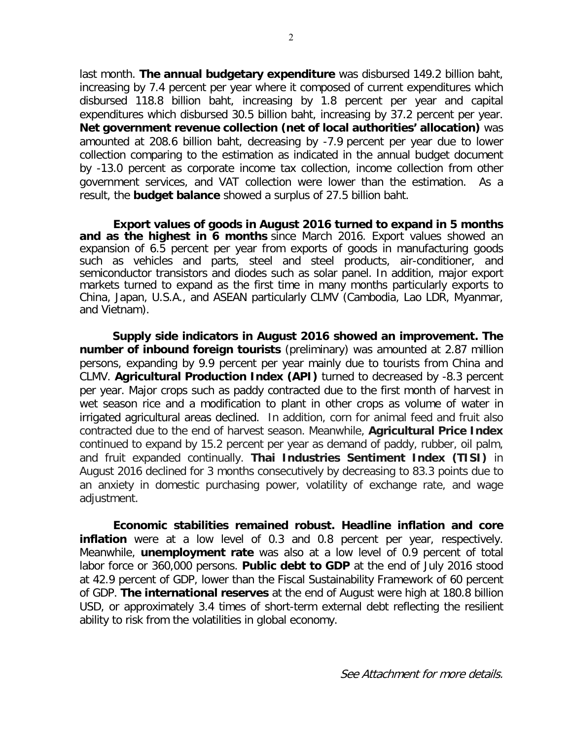last month. **The annual budgetary expenditure** was disbursed 149.2 billion baht, increasing by 7.4 percent per year where it composed of current expenditures which disbursed 118.8 billion baht, increasing by 1.8 percent per year and capital expenditures which disbursed 30.5 billion baht, increasing by 37.2 percent per year. **Net government revenue collection (net of local authorities' allocation)** was amounted at 208.6 billion baht, decreasing by -7.9 percent per year due to lower collection comparing to the estimation as indicated in the annual budget document by -13.0 percent as corporate income tax collection, income collection from other government services, and VAT collection were lower than the estimation. As a result, the **budget balance** showed a surplus of 27.5 billion baht.

**Export values of goods in August 2016 turned to expand in 5 months and as the highest in 6 months** since March 2016. Export values showed an expansion of 6.5 percent per year from exports of goods in manufacturing goods such as vehicles and parts, steel and steel products, air-conditioner, and semiconductor transistors and diodes such as solar panel. In addition, major export markets turned to expand as the first time in many months particularly exports to China, Japan, U.S.A., and ASEAN particularly CLMV (Cambodia, Lao LDR, Myanmar, and Vietnam).

**Supply side indicators in August 2016 showed an improvement. The number of inbound foreign tourists** (preliminary) was amounted at 2.87 million persons, expanding by 9.9 percent per year mainly due to tourists from China and CLMV. **Agricultural Production Index (API)** turned to decreased by -8.3 percent per year. Major crops such as paddy contracted due to the first month of harvest in wet season rice and a modification to plant in other crops as volume of water in irrigated agricultural areas declined. In addition, corn for animal feed and fruit also contracted due to the end of harvest season. Meanwhile, **Agricultural Price Index** continued to expand by 15.2 percent per year as demand of paddy, rubber, oil palm, and fruit expanded continually. **Thai Industries Sentiment Index (TISI)** in August 2016 declined for 3 months consecutively by decreasing to 83.3 points due to an anxiety in domestic purchasing power, volatility of exchange rate, and wage adiustment.

**Economic stabilities remained robust. Headline inflation and core inflation** were at a low level of 0.3 and 0.8 percent per year, respectively. Meanwhile, **unemployment rate** was also at a low level of 0.9 percent of total labor force or 360,000 persons. **Public debt to GDP** at the end of July 2016 stood at 42.9 percent of GDP, lower than the Fiscal Sustainability Framework of 60 percent of GDP. **The international reserves** at the end of August were high at 180.8 billion USD, or approximately 3.4 times of short-term external debt reflecting the resilient ability to risk from the volatilities in global economy.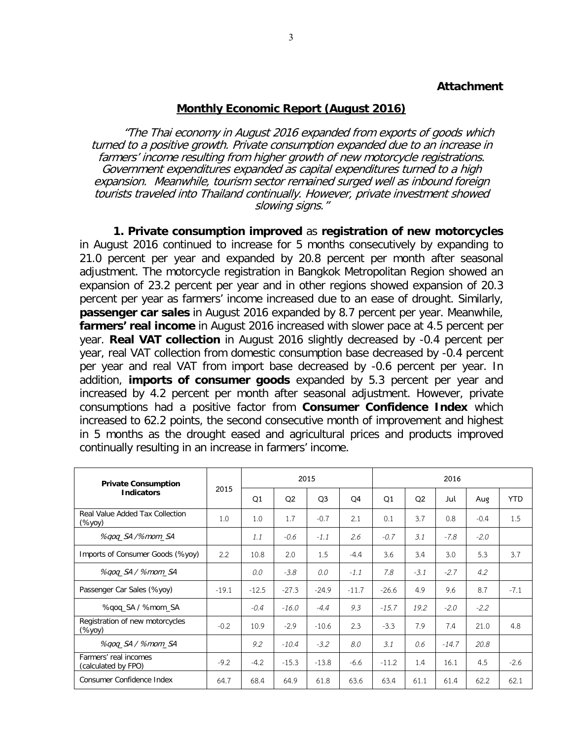### **Attachment**

#### **Monthly Economic Report (August 2016)**

"The Thai economy in August 2016 expanded from exports of goods which turned to a positive growth. Private consumption expanded due to an increase in farmers' income resulting from higher growth of new motorcycle registrations. Government expenditures expanded as capital expenditures turned to a high expansion. Meanwhile, tourism sector remained surged well as inbound foreign tourists traveled into Thailand continually. However, private investment showed slowing signs."

**1. Private consumption improved** as **registration of new motorcycles** in August 2016 continued to increase for 5 months consecutively by expanding to 21.0 percent per year and expanded by 20.8 percent per month after seasonal adjustment. The motorcycle registration in Bangkok Metropolitan Region showed an expansion of 23.2 percent per year and in other regions showed expansion of 20.3 percent per year as farmers' income increased due to an ease of drought. Similarly, **passenger car sales** in August 2016 expanded by 8.7 percent per year. Meanwhile, **farmers' real income** in August 2016 increased with slower pace at 4.5 percent per year. **Real VAT collection** in August 2016 slightly decreased by -0.4 percent per year, real VAT collection from domestic consumption base decreased by -0.4 percent per year and real VAT from import base decreased by -0.6 percent per year. In addition, **imports of consumer goods** expanded by 5.3 percent per year and increased by 4.2 percent per month after seasonal adjustment. However, private consumptions had a positive factor from **Consumer Confidence Index** which increased to 62.2 points, the second consecutive month of improvement and highest in 5 months as the drought eased and agricultural prices and products improved continually resulting in an increase in farmers' income.

| <b>Private Consumption</b>                   |         |         |                | 2015           |         |         | 2016           |         |        |            |  |  |  |
|----------------------------------------------|---------|---------|----------------|----------------|---------|---------|----------------|---------|--------|------------|--|--|--|
| <b>Indicators</b>                            | 2015    | Q1      | Q <sub>2</sub> | O <sub>3</sub> | Q4      | Q1      | Q <sub>2</sub> | Jul     | Aug    | <b>YTD</b> |  |  |  |
| Real Value Added Tax Collection<br>(%yoy)    | 1.0     | 1.0     | 1.7            | $-0.7$         | 2.1     | 0.1     | 3.7            | 0.8     | $-0.4$ | 1.5        |  |  |  |
| %gog_SA /%mom_SA                             |         | 1.1     | $-0.6$         | $-1.1$         | 2.6     | $-0.7$  | 3.1            | $-7.8$  | $-2.0$ |            |  |  |  |
| Imports of Consumer Goods (%yoy)             | 2.2     | 10.8    | 2.0            | 1.5            | $-4.4$  | 3.6     | 3.4            | 3.0     | 5.3    | 3.7        |  |  |  |
| %gog_SA / %mom_SA                            |         | 0.0     | $-3.8$         | 0.0            | $-1.1$  | 7.8     | $-3.1$         | $-2.7$  | 4.2    |            |  |  |  |
| Passenger Car Sales (%yoy)                   | $-19.1$ | $-12.5$ | $-27.3$        | $-24.9$        | $-11.7$ | $-26.6$ | 4.9            | 9.6     | 8.7    | $-7.1$     |  |  |  |
| %gog_SA / %mom_SA                            |         | $-0.4$  | $-16.0$        | $-4.4$         | 9.3     | $-15.7$ | 19.2           | $-2.0$  | $-2.2$ |            |  |  |  |
| Registration of new motorcycles<br>(%уоу)    | $-0.2$  | 10.9    | $-2.9$         | $-10.6$        | 2.3     | $-3.3$  | 7.9            | 7.4     | 21.0   | 4.8        |  |  |  |
| %gog_SA / %mom_SA                            |         | 9.2     | $-10.4$        | $-3.2$         | 8.0     | 3.1     | 0.6            | $-14.7$ | 20.8   |            |  |  |  |
| Farmers' real incomes<br>(calculated by FPO) | $-9.2$  | $-4.2$  | $-15.3$        | $-13.8$        | $-6.6$  | $-11.2$ | 1.4            | 16.1    | 4.5    | $-2.6$     |  |  |  |
| Consumer Confidence Index                    | 64.7    | 68.4    | 64.9           | 61.8           | 63.6    | 63.4    | 61.1           | 61.4    | 62.2   | 62.1       |  |  |  |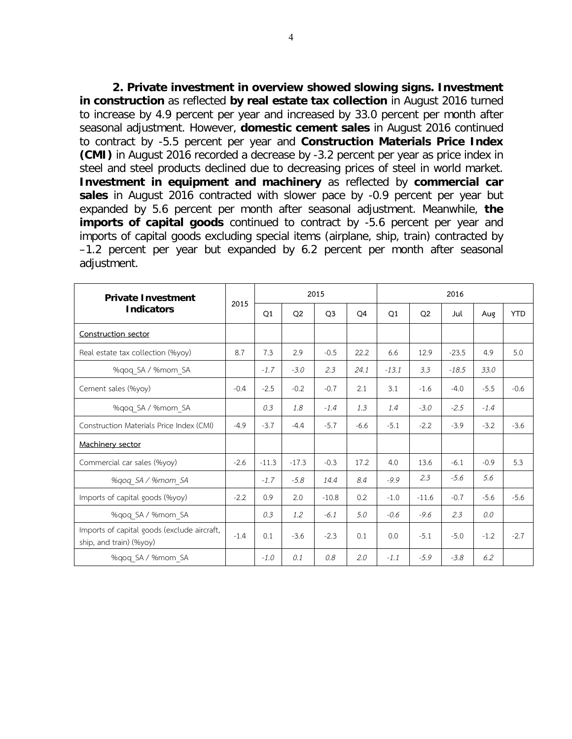**2. Private investment in overview showed slowing signs. Investment in construction** as reflected **by real estate tax collection** in August 2016 turned to increase by 4.9 percent per year and increased by 33.0 percent per month after seasonal adjustment. However, **domestic cement sales** in August 2016 continued to contract by -5.5 percent per year and **Construction Materials Price Index (CMI)** in August 2016 recorded a decrease by -3.2 percent per year as price index in steel and steel products declined due to decreasing prices of steel in world market. **Investment in equipment and machinery** as reflected by **commercial car sales** in August 2016 contracted with slower pace by -0.9 percent per year but expanded by 5.6 percent per month after seasonal adjustment. Meanwhile, **the imports of capital goods** continued to contract by -5.6 percent per year and imports of capital goods excluding special items (airplane, ship, train) contracted by –1.2 percent per year but expanded by 6.2 percent per month after seasonal adjustment.

| <b>Private Investment</b>                                              |        |         |                | 2015           |                |                | 2016           |         |        |            |  |  |  |
|------------------------------------------------------------------------|--------|---------|----------------|----------------|----------------|----------------|----------------|---------|--------|------------|--|--|--|
| <b>Indicators</b>                                                      | 2015   | Q1      | Q <sub>2</sub> | O <sub>3</sub> | O <sub>4</sub> | O <sub>1</sub> | O <sub>2</sub> | Jul     | Aug    | <b>YTD</b> |  |  |  |
| Construction sector                                                    |        |         |                |                |                |                |                |         |        |            |  |  |  |
| Real estate tax collection (%yoy)                                      | 8.7    | 7.3     | 2.9            | $-0.5$         | 22.2           | 6.6            | 12.9           | $-23.5$ | 4.9    | 5.0        |  |  |  |
| %qoq_SA / %mom_SA                                                      |        | $-1.7$  | $-3.0$         | 2.3            | 24.1           | $-13.1$        | 3.3            | $-18.5$ | 33.0   |            |  |  |  |
| Cement sales (%yoy)                                                    | $-0.4$ | $-2.5$  | $-0.2$         | $-0.7$         | 2.1            | 3.1            | $-1.6$         | $-4.0$  | $-5.5$ | $-0.6$     |  |  |  |
| %qoq_SA / %mom_SA                                                      |        | 0.3     | 1.8            | $-1.4$         | 1.3            | 1.4            | $-3.0$         | $-2.5$  | $-1.4$ |            |  |  |  |
| Construction Materials Price Index (CMI)                               | $-4.9$ | $-3.7$  | $-4.4$         | $-5.7$         | $-6.6$         | $-5.1$         | $-2.2$         | $-3.9$  | $-3.2$ | $-3.6$     |  |  |  |
| Machinery sector                                                       |        |         |                |                |                |                |                |         |        |            |  |  |  |
| Commercial car sales (%yoy)                                            | $-2.6$ | $-11.3$ | $-17.3$        | $-0.3$         | 17.2           | 4.0            | 13.6           | $-6.1$  | $-0.9$ | 5.3        |  |  |  |
| %qoq SA / %mom SA                                                      |        | $-1.7$  | $-5.8$         | 14.4           | 8.4            | $-9.9$         | 2.3            | $-5.6$  | 5.6    |            |  |  |  |
| Imports of capital goods (%yoy)                                        | $-2.2$ | 0.9     | 2.0            | $-10.8$        | 0.2            | $-1.0$         | $-11.6$        | $-0.7$  | $-5.6$ | $-5.6$     |  |  |  |
| %qoq SA / %mom SA                                                      |        | 0.3     | 1.2            | $-6.1$         | 5.0            | $-0.6$         | $-9.6$         | 2.3     | 0.0    |            |  |  |  |
| Imports of capital goods (exclude aircraft,<br>ship, and train) (%yoy) | $-1.4$ | 0.1     | $-3.6$         | $-2.3$         | 0.1            | 0.0            | $-5.1$         | $-5.0$  | $-1.2$ | $-2.7$     |  |  |  |
| %qoq SA / %mom SA                                                      |        | $-1.0$  | 0.1            | 0.8            | 2.0            | $-1.1$         | $-5.9$         | $-3.8$  | 6.2    |            |  |  |  |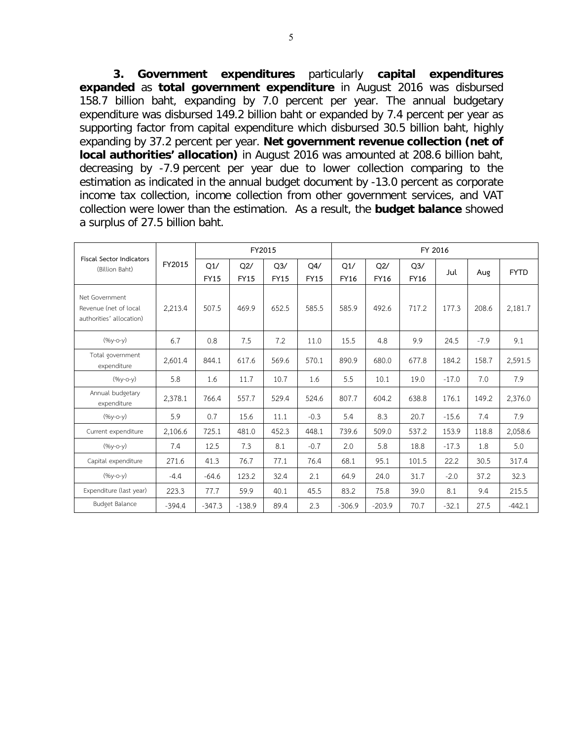**3. Government expenditures** particularly **capital expenditures expanded** as **total government expenditure** in August 2016 was disbursed 158.7 billion baht, expanding by 7.0 percent per year. The annual budgetary expenditure was disbursed 149.2 billion baht or expanded by 7.4 percent per year as supporting factor from capital expenditure which disbursed 30.5 billion baht, highly expanding by 37.2 percent per year. **Net government revenue collection (net of local authorities' allocation)** in August 2016 was amounted at 208.6 billion baht, decreasing by -7.9 percent per year due to lower collection comparing to the estimation as indicated in the annual budget document by -13.0 percent as corporate income tax collection, income collection from other government services, and VAT collection were lower than the estimation. As a result, the **budget balance** showed a surplus of 27.5 billion baht.

| <b>Fiscal Sector Indicators</b>                                     |          |                    | FY2015             |                               |                    | FY 2016            |                    |                               |         |        |             |  |  |  |
|---------------------------------------------------------------------|----------|--------------------|--------------------|-------------------------------|--------------------|--------------------|--------------------|-------------------------------|---------|--------|-------------|--|--|--|
| (Billion Baht)                                                      | FY2015   | Q1/<br><b>FY15</b> | Q2/<br><b>FY15</b> | Q <sub>3</sub><br><b>FY15</b> | Q4/<br><b>FY15</b> | Q1/<br><b>FY16</b> | Q2/<br><b>FY16</b> | Q <sub>3</sub><br><b>FY16</b> | Jul     | Aug    | <b>FYTD</b> |  |  |  |
| Net Government<br>Revenue (net of local<br>authorities' allocation) | 2,213.4  | 507.5              | 469.9              | 652.5                         | 585.5              | 585.9              | 492.6              | 717.2                         | 177.3   | 208.6  | 2,181.7     |  |  |  |
| $(%y-o-y)$                                                          | 6.7      | 0.8                | 7.5                | 7.2                           | 11.0               | 15.5               | 4.8                | 9.9                           | 24.5    | $-7.9$ | 9.1         |  |  |  |
| Total government<br>expenditure                                     | 2,601.4  | 844.1              | 617.6              | 569.6                         | 570.1              | 890.9              | 680.0              | 677.8                         | 184.2   | 158.7  | 2,591.5     |  |  |  |
| $(96y-c-y)$                                                         | 5.8      | 1.6                | 11.7               | 10.7                          | 1.6                | 5.5                | 10.1               | 19.0                          | $-17.0$ | 7.0    | 7.9         |  |  |  |
| Annual budgetary<br>expenditure                                     | 2,378.1  | 766.4              | 557.7              | 529.4                         | 524.6              | 807.7              | 604.2              | 638.8                         | 176.1   | 149.2  | 2,376.0     |  |  |  |
| $(96y-c-y)$                                                         | 5.9      | 0.7                | 15.6               | 11.1                          | $-0.3$             | 5.4                | 8.3                | 20.7                          | $-15.6$ | 7.4    | 7.9         |  |  |  |
| Current expenditure                                                 | 2,106.6  | 725.1              | 481.0              | 452.3                         | 448.1              | 739.6              | 509.0              | 537.2                         | 153.9   | 118.8  | 2,058.6     |  |  |  |
| $(96y-O-y)$                                                         | 7.4      | 12.5               | 7.3                | 8.1                           | $-0.7$             | 2.0                | 5.8                | 18.8                          | $-17.3$ | 1.8    | 5.0         |  |  |  |
| Capital expenditure                                                 | 271.6    | 41.3               | 76.7               | 77.1                          | 76.4               | 68.1               | 95.1               | 101.5                         | 22.2    | 30.5   | 317.4       |  |  |  |
| $(96y-c-y)$                                                         | $-4.4$   | $-64.6$            | 123.2              | 32.4                          | 2.1                | 64.9               | 24.0               | 31.7                          | $-2.0$  | 37.2   | 32.3        |  |  |  |
| Expenditure (last year)                                             | 223.3    | 77.7               | 59.9               | 40.1                          | 45.5               | 83.2               | 75.8               | 39.0                          | 8.1     | 9.4    | 215.5       |  |  |  |
| <b>Budget Balance</b>                                               | $-394.4$ | $-347.3$           | $-138.9$           | 89.4                          | 2.3                | $-306.9$           | $-203.9$           | 70.7                          | $-32.1$ | 27.5   | $-442.1$    |  |  |  |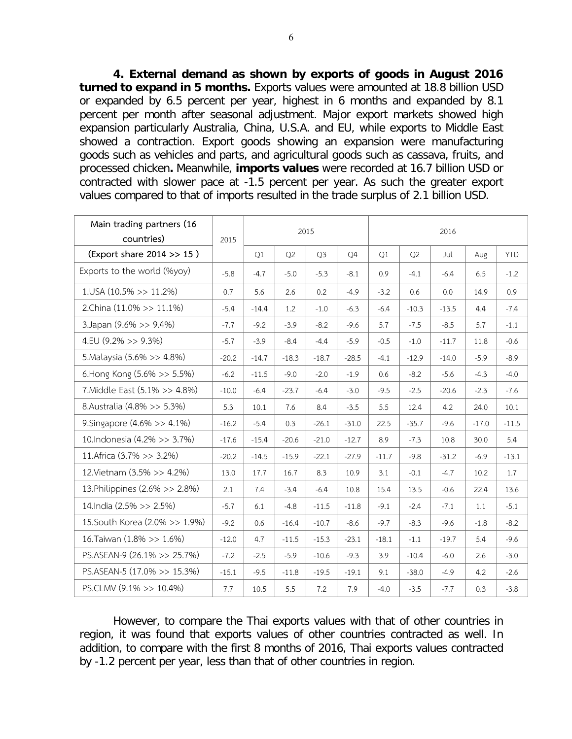**4. External demand as shown by exports of goods in August 2016 turned to expand in 5 months.** Exports values were amounted at 18.8 billion USD or expanded by 6.5 percent per year, highest in 6 months and expanded by 8.1 percent per month after seasonal adjustment. Major export markets showed high expansion particularly Australia, China, U.S.A. and EU, while exports to Middle East showed a contraction. Export goods showing an expansion were manufacturing goods such as vehicles and parts, and agricultural goods such as cassava, fruits, and processed chicken**.** Meanwhile, **imports values** were recorded at 16.7 billion USD or contracted with slower pace at -1.5 percent per year. As such the greater export values compared to that of imports resulted in the trade surplus of 2.1 billion USD.

| Main trading partners (16      |         |         |                | 2015           |         | 2016    |         |         |         |            |  |  |  |
|--------------------------------|---------|---------|----------------|----------------|---------|---------|---------|---------|---------|------------|--|--|--|
| countries)                     | 2015    |         |                |                |         |         |         |         |         |            |  |  |  |
| (Export share 2014 >> 15)      |         | Q1      | Q <sub>2</sub> | Q <sub>3</sub> | Q4      | Q1      | Q2      | Jul     | Aug     | <b>YTD</b> |  |  |  |
| Exports to the world (%yoy)    | $-5.8$  | $-4.7$  | $-5.0$         | $-5.3$         | $-8.1$  | 0.9     | $-4.1$  | $-6.4$  | 6.5     | $-1.2$     |  |  |  |
| $1.05A(10.5\%>>11.2\%)$        | 0.7     | 5.6     | 2.6            | 0.2            | $-4.9$  | $-3.2$  | 0.6     | 0.0     | 14.9    | 0.9        |  |  |  |
| 2.China (11.0% >> 11.1%)       | $-5.4$  | $-14.4$ | 1.2            | $-1.0$         | $-6.3$  | $-6.4$  | $-10.3$ | $-13.5$ | 4.4     | $-7.4$     |  |  |  |
| 3. Japan (9.6% >> 9.4%)        | $-7.7$  | $-9.2$  | $-3.9$         | $-8.2$         | $-9.6$  | 5.7     | $-7.5$  | $-8.5$  | 5.7     | $-1.1$     |  |  |  |
| 4.EU $(9.2\% >> 9.3\%)$        | $-5.7$  | $-3.9$  | $-8.4$         | $-4.4$         | $-5.9$  | $-0.5$  | $-1.0$  | $-11.7$ | 11.8    | $-0.6$     |  |  |  |
| 5. Malaysia (5.6% >> 4.8%)     | $-20.2$ | $-14.7$ | $-18.3$        | $-18.7$        | $-28.5$ | $-4.1$  | $-12.9$ | $-14.0$ | $-5.9$  | $-8.9$     |  |  |  |
| 6.Hong Kong (5.6% >> 5.5%)     | $-6.2$  | $-11.5$ | $-9.0$         | $-2.0$         | $-1.9$  | 0.6     | $-8.2$  | $-5.6$  | $-4.3$  | $-4.0$     |  |  |  |
| 7. Middle East (5.1% >> 4.8%)  | $-10.0$ | $-6.4$  | $-23.7$        | $-6.4$         | $-3.0$  | $-9.5$  | $-2.5$  | $-20.6$ | $-2.3$  | $-7.6$     |  |  |  |
| 8.Australia (4.8% >> 5.3%)     | 5.3     | 10.1    | 7.6            | 8.4            | $-3.5$  | 5.5     | 12.4    | 4.2     | 24.0    | 10.1       |  |  |  |
| 9. Singapore (4.6% >> 4.1%)    | $-16.2$ | $-5.4$  | 0.3            | $-26.1$        | $-31.0$ | 22.5    | $-35.7$ | $-9.6$  | $-17.0$ | $-11.5$    |  |  |  |
| 10.Indonesia (4.2% >> 3.7%)    | $-17.6$ | $-15.4$ | $-20.6$        | $-21.0$        | $-12.7$ | 8.9     | $-7.3$  | 10.8    | 30.0    | 5.4        |  |  |  |
| 11. Africa (3.7% >> 3.2%)      | $-20.2$ | $-14.5$ | $-15.9$        | $-22.1$        | $-27.9$ | $-11.7$ | $-9.8$  | $-31.2$ | $-6.9$  | $-13.1$    |  |  |  |
| 12. Vietnam (3.5% >> 4.2%)     | 13.0    | 17.7    | 16.7           | 8.3            | 10.9    | 3.1     | $-0.1$  | $-4.7$  | 10.2    | 1.7        |  |  |  |
| 13. Philippines (2.6% >> 2.8%) | 2.1     | 7.4     | $-3.4$         | $-6.4$         | 10.8    | 15.4    | 13.5    | $-0.6$  | 22.4    | 13.6       |  |  |  |
| 14. India (2.5% >> 2.5%)       | $-5.7$  | 6.1     | $-4.8$         | $-11.5$        | $-11.8$ | $-9.1$  | $-2.4$  | $-7.1$  | 1.1     | $-5.1$     |  |  |  |
| 15. South Korea (2.0% >> 1.9%) | $-9.2$  | 0.6     | $-16.4$        | $-10.7$        | $-8.6$  | $-9.7$  | $-8.3$  | $-9.6$  | $-1.8$  | $-8.2$     |  |  |  |
| 16. Taiwan (1.8% >> 1.6%)      | $-12.0$ | 4.7     | $-11.5$        | $-15.3$        | $-23.1$ | $-18.1$ | $-1.1$  | $-19.7$ | 5.4     | $-9.6$     |  |  |  |
| PS.ASEAN-9 (26.1% >> 25.7%)    | $-7.2$  | $-2.5$  | $-5.9$         | $-10.6$        | $-9.3$  | 3.9     | $-10.4$ | $-6.0$  | 2.6     | $-3.0$     |  |  |  |
| PS.ASEAN-5 (17.0% >> 15.3%)    | $-15.1$ | $-9.5$  | $-11.8$        | $-19.5$        | $-19.1$ | 9.1     | $-38.0$ | $-4.9$  | 4.2     | $-2.6$     |  |  |  |
| PS.CLMV (9.1% >> 10.4%)        | 7.7     | 10.5    | 5.5            | 7.2            | 7.9     | $-4.0$  | $-3.5$  | $-7.7$  | 0.3     | $-3.8$     |  |  |  |

However, to compare the Thai exports values with that of other countries in region, it was found that exports values of other countries contracted as well. In addition, to compare with the first 8 months of 2016, Thai exports values contracted by -1.2 percent per year, less than that of other countries in region.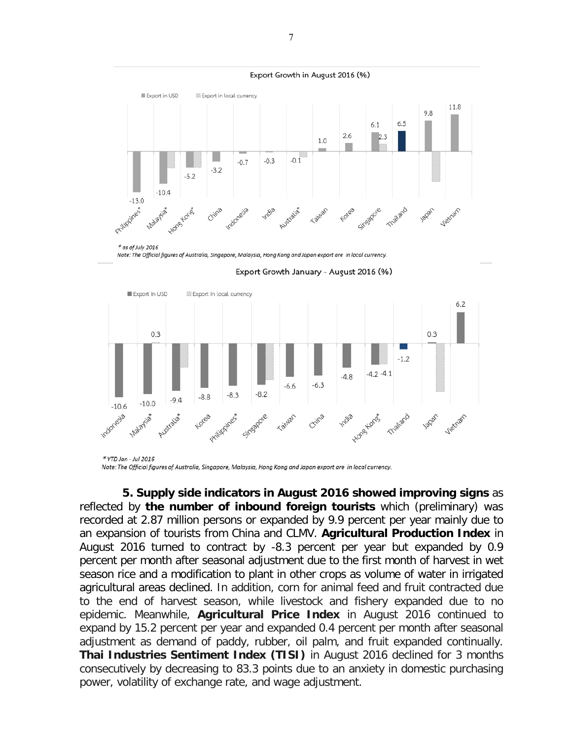





Export Growth January - August 2016 (%)

Note: The Official figures of Australia, Singapore, Malaysia, Hong Kong and Japan export are in local currency.

**5. Supply side indicators in August 2016 showed improving signs** as reflected by **the number of inbound foreign tourists** which (preliminary) was recorded at 2.87 million persons or expanded by 9.9 percent per year mainly due to an expansion of tourists from China and CLMV. **Agricultural Production Index** in August 2016 turned to contract by -8.3 percent per year but expanded by 0.9 percent per month after seasonal adjustment due to the first month of harvest in wet season rice and a modification to plant in other crops as volume of water in irrigated agricultural areas declined. In addition, corn for animal feed and fruit contracted due to the end of harvest season, while livestock and fishery expanded due to no epidemic. Meanwhile, **Agricultural Price Index** in August 2016 continued to expand by 15.2 percent per year and expanded 0.4 percent per month after seasonal adjustment as demand of paddy, rubber, oil palm, and fruit expanded continually. **Thai Industries Sentiment Index (TISI)** in August 2016 declined for 3 months consecutively by decreasing to 83.3 points due to an anxiety in domestic purchasing power, volatility of exchange rate, and wage adjustment.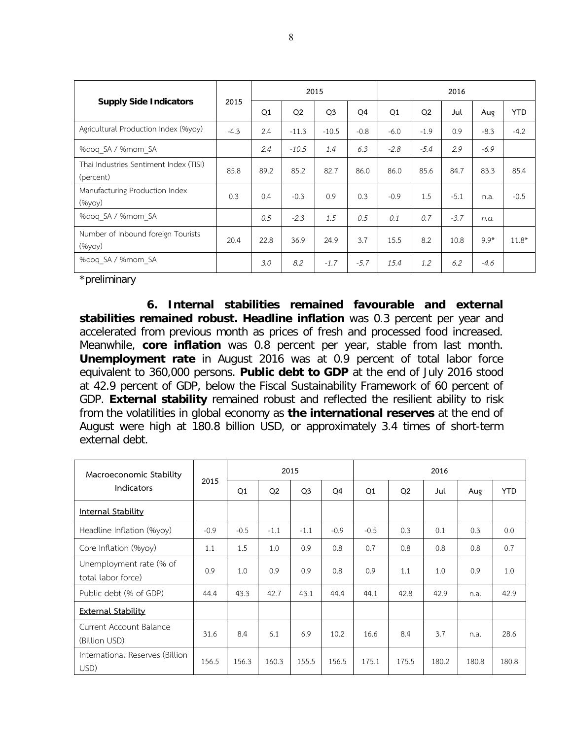|                                                     |        |      |                | 2015           |                |        |                | 2016   |        |            |
|-----------------------------------------------------|--------|------|----------------|----------------|----------------|--------|----------------|--------|--------|------------|
| <b>Supply Side Indicators</b>                       | 2015   | Q1   | Q <sub>2</sub> | Q <sub>3</sub> | O <sub>4</sub> | Q1     | Q <sub>2</sub> | Jul    | Aug    | <b>YTD</b> |
| Agricultural Production Index (%yoy)                | $-4.3$ | 2.4  | $-11.3$        | $-10.5$        | $-0.8$         | $-6.0$ | $-1.9$         | 0.9    | $-8.3$ | $-4.2$     |
| %gog SA / %mom SA                                   |        | 2.4  | $-10.5$        | 1.4            | 6.3            | $-2.8$ | $-5.4$         | 2.9    | $-6.9$ |            |
| Thai Industries Sentiment Index (TISI)<br>(percent) | 85.8   | 89.2 | 85.2           | 82.7           | 86.0           | 86.0   | 85.6           | 84.7   | 83.3   | 85.4       |
| Manufacturing Production Index<br>(%yoy)            | 0.3    | 0.4  | $-0.3$         | 0.9            | 0.3            | $-0.9$ | 1.5            | $-5.1$ | n.a.   | $-0.5$     |
| %gog SA / %mom SA                                   |        | 0.5  | $-2.3$         | 1.5            | 0.5            | 0.1    | 0.7            | $-3.7$ | n.a.   |            |
| Number of Inbound foreign Tourists<br>$(\%$ yoy $)$ | 20.4   | 22.8 | 36.9           | 24.9           | 3.7            | 15.5   | 8.2            | 10.8   | $9.9*$ | $11.8*$    |
| %qoq SA / %mom SA                                   |        | 3.0  | 8.2            | $-1.7$         | $-5.7$         | 15.4   | 1.2            | 6.2    | $-4.6$ |            |

\*preliminary

**6. Internal stabilities remained favourable and external stabilities remained robust. Headline inflation** was 0.3 percent per year and accelerated from previous month as prices of fresh and processed food increased. Meanwhile, **core inflation** was 0.8 percent per year, stable from last month. **Unemployment rate** in August 2016 was at 0.9 percent of total labor force equivalent to 360,000 persons. **Public debt to GDP** at the end of July 2016 stood at 42.9 percent of GDP, below the Fiscal Sustainability Framework of 60 percent of GDP. **External stability** remained robust and reflected the resilient ability to risk from the volatilities in global economy as **the international reserves** at the end of August were high at 180.8 billion USD, or approximately 3.4 times of short-term external debt.

| Macroeconomic Stability                       |        |        | 2015           |                |        |        |                | 2016  |       |            |
|-----------------------------------------------|--------|--------|----------------|----------------|--------|--------|----------------|-------|-------|------------|
| Indicators                                    | 2015   | Q1     | Q <sub>2</sub> | Q <sub>3</sub> | Q4     | Q1     | Q <sub>2</sub> | Jul   | Aug   | <b>YTD</b> |
| <b>Internal Stability</b>                     |        |        |                |                |        |        |                |       |       |            |
| Headline Inflation (%yoy)                     | $-0.9$ | $-0.5$ | $-1.1$         | $-1.1$         | $-0.9$ | $-0.5$ | 0.3            | 0.1   | 0.3   | 0.0        |
| Core Inflation (%yoy)                         | 1.1    | 1.5    | 1.0            | 0.9            | 0.8    | 0.7    | 0.8            | 0.8   | 0.8   | 0.7        |
| Unemployment rate (% of<br>total labor force) | 0.9    | 1.0    | 0.9            | 0.9            | 0.8    | 0.9    | 1.1            | 1.0   | 0.9   | 1.0        |
| Public debt (% of GDP)                        | 44.4   | 43.3   | 42.7           | 43.1           | 44.4   | 44.1   | 42.8           | 42.9  | n.a.  | 42.9       |
| <b>External Stability</b>                     |        |        |                |                |        |        |                |       |       |            |
| Current Account Balance<br>(Billion USD)      | 31.6   | 8.4    | 6.1            | 6.9            | 10.2   | 16.6   | 8.4            | 3.7   | n.a.  | 28.6       |
| International Reserves (Billion<br>USD)       | 156.5  | 156.3  | 160.3          | 155.5          | 156.5  | 175.1  | 175.5          | 180.2 | 180.8 | 180.8      |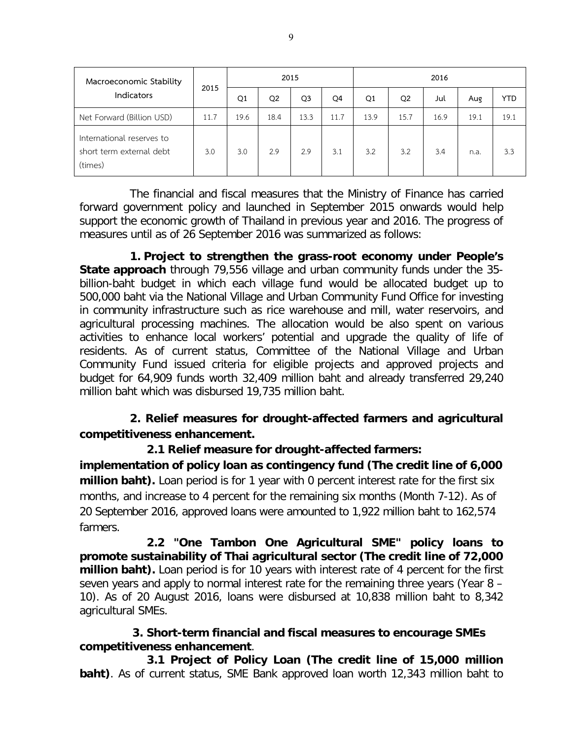| Macroeconomic Stability                                          |      |      | 2015           |                |      |      |                | 2016 |      |            |
|------------------------------------------------------------------|------|------|----------------|----------------|------|------|----------------|------|------|------------|
| Indicators                                                       | 2015 | Q1   | Q <sub>2</sub> | Q <sub>3</sub> | Q4   | Q1   | Q <sub>2</sub> | Jul  | Aug  | <b>YTD</b> |
| Net Forward (Billion USD)                                        | 11.7 | 19.6 | 18.4           | 13.3           | 11.7 | 13.9 | 15.7           | 16.9 | 19.1 | 19.1       |
| International reserves to<br>short term external debt<br>(times) | 3.0  | 3.0  | 2.9            | 2.9            | 3.1  | 3.2  | 3.2            | 3.4  | n.a. | 3.3        |

The financial and fiscal measures that the Ministry of Finance has carried forward government policy and launched in September 2015 onwards would help support the economic growth of Thailand in previous year and 2016. The progress of measures until as of 26 September 2016 was summarized as follows:

**1. Project to strengthen the grass-root economy under People's State approach** through 79,556 village and urban community funds under the 35 billion-baht budget in which each village fund would be allocated budget up to 500,000 baht via the National Village and Urban Community Fund Office for investing in community infrastructure such as rice warehouse and mill, water reservoirs, and agricultural processing machines. The allocation would be also spent on various activities to enhance local workers' potential and upgrade the quality of life of residents. As of current status, Committee of the National Village and Urban Community Fund issued criteria for eligible projects and approved projects and budget for 64,909 funds worth 32,409 million baht and already transferred 29,240 million baht which was disbursed 19,735 million baht.

# **2. Relief measures for drought-affected farmers and agricultural competitiveness enhancement.**

**2.1 Relief measure for drought-affected farmers: implementation of policy loan as contingency fund (The credit line of 6,000 million baht).** Loan period is for 1 year with 0 percent interest rate for the first six months, and increase to 4 percent for the remaining six months (Month 7-12). As of 20 September 2016, approved loans were amounted to 1,922 million baht to 162,574 farmers.

**2.2 "One Tambon One Agricultural SME" policy loans to promote sustainability of Thai agricultural sector (The credit line of 72,000 million baht).** Loan period is for 10 years with interest rate of 4 percent for the first seven years and apply to normal interest rate for the remaining three years (Year 8 – 10). As of 20 August 2016, loans were disbursed at 10,838 million baht to 8,342 agricultural SMEs.

## **3. Short-term financial and fiscal measures to encourage SMEs competitiveness enhancement**.

**3.1 Project of Policy Loan (The credit line of 15,000 million baht)**. As of current status, SME Bank approved loan worth 12,343 million baht to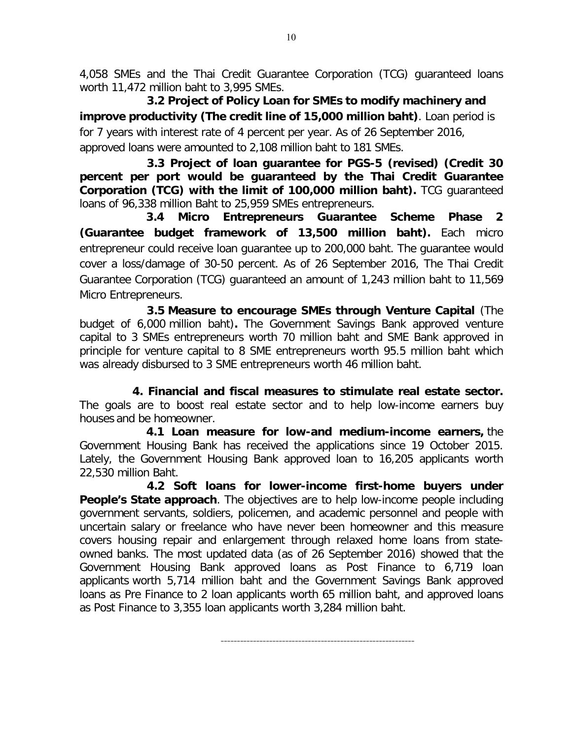4,058 SMEs and the Thai Credit Guarantee Corporation (TCG) guaranteed loans worth 11,472 million baht to 3,995 SMEs.

**3.2 Project of Policy Loan for SMEs to modify machinery and improve productivity (The credit line of 15,000 million baht)**. Loan period is for 7 years with interest rate of 4 percent per year. As of 26 September 2016, approved loans were amounted to 2,108 million baht to 181 SMEs.

**3.3 Project of loan guarantee for PGS-5 (revised) (Credit 30 percent per port would be guaranteed by the Thai Credit Guarantee Corporation (TCG) with the limit of 100,000 million baht).** TCG guaranteed loans of 96,338 million Baht to 25,959 SMEs entrepreneurs.

 **3.4 Micro Entrepreneurs Guarantee Scheme Phase 2 (Guarantee budget framework of 13,500 million baht).** Each micro entrepreneur could receive loan guarantee up to 200,000 baht. The guarantee would cover a loss/damage of 30-50 percent. As of 26 September 2016, The Thai Credit Guarantee Corporation (TCG) guaranteed an amount of 1,243 million baht to 11,569 Micro Entrepreneurs.

**3.5 Measure to encourage SMEs through Venture Capital** (The budget of 6,000 million baht)**.** The Government Savings Bank approved venture capital to 3 SMEs entrepreneurs worth 70 million baht and SME Bank approved in principle for venture capital to 8 SME entrepreneurs worth 95.5 million baht which was already disbursed to 3 SME entrepreneurs worth 46 million baht.

**4. Financial and fiscal measures to stimulate real estate sector.**  The goals are to boost real estate sector and to help low-income earners buy houses and be homeowner.

 **4.1 Loan measure for low-and medium-income earners,** the Government Housing Bank has received the applications since 19 October 2015. Lately, the Government Housing Bank approved loan to 16,205 applicants worth 22,530 million Baht.

**4.2 Soft loans for lower-income first-home buyers under People's State approach**. The objectives are to help low-income people including government servants, soldiers, policemen, and academic personnel and people with uncertain salary or freelance who have never been homeowner and this measure covers housing repair and enlargement through relaxed home loans from stateowned banks. The most updated data (as of 26 September 2016) showed that the Government Housing Bank approved loans as Post Finance to 6,719 loan applicants worth 5,714 million baht and the Government Savings Bank approved loans as Pre Finance to 2 loan applicants worth 65 million baht, and approved loans as Post Finance to 3,355 loan applicants worth 3,284 million baht.

------------------------------------------------------------